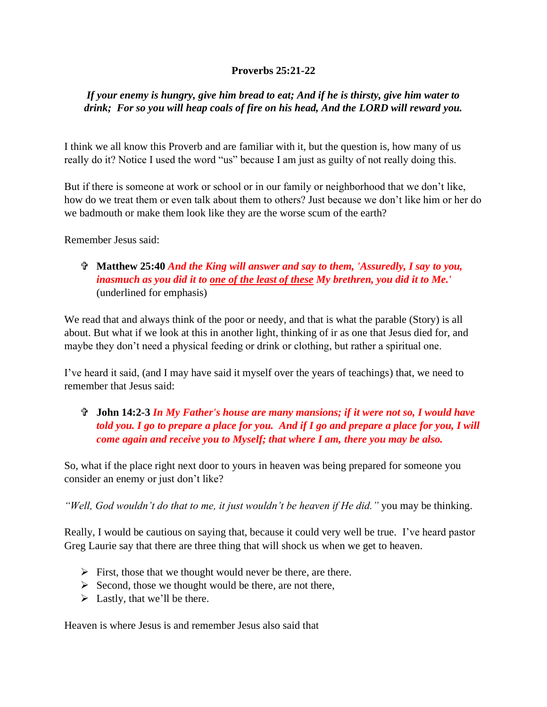## **Proverbs 25:21-22**

## *If your enemy is hungry, give him bread to eat; And if he is thirsty, give him water to drink; For so you will heap coals of fire on his head, And the LORD will reward you.*

I think we all know this Proverb and are familiar with it, but the question is, how many of us really do it? Notice I used the word "us" because I am just as guilty of not really doing this.

But if there is someone at work or school or in our family or neighborhood that we don't like, how do we treat them or even talk about them to others? Just because we don't like him or her do we badmouth or make them look like they are the worse scum of the earth?

Remember Jesus said:

# **Matthew 25:40** *And the King will answer and say to them, 'Assuredly, I say to you, inasmuch as you did it to one of the least of these My brethren, you did it to Me.'* (underlined for emphasis)

We read that and always think of the poor or needy, and that is what the parable (Story) is all about. But what if we look at this in another light, thinking of ir as one that Jesus died for, and maybe they don't need a physical feeding or drink or clothing, but rather a spiritual one.

I've heard it said, (and I may have said it myself over the years of teachings) that, we need to remember that Jesus said:

# **John 14:2-3** *In My Father's house are many mansions; if it were not so, I would have told you. I go to prepare a place for you. And if I go and prepare a place for you, I will come again and receive you to Myself; that where I am, there you may be also.*

So, what if the place right next door to yours in heaven was being prepared for someone you consider an enemy or just don't like?

*"Well, God wouldn't do that to me, it just wouldn't be heaven if He did."* you may be thinking.

Really, I would be cautious on saying that, because it could very well be true. I've heard pastor Greg Laurie say that there are three thing that will shock us when we get to heaven.

- ➢ First, those that we thought would never be there, are there.
- ➢ Second, those we thought would be there, are not there,
- $\triangleright$  Lastly, that we'll be there.

Heaven is where Jesus is and remember Jesus also said that